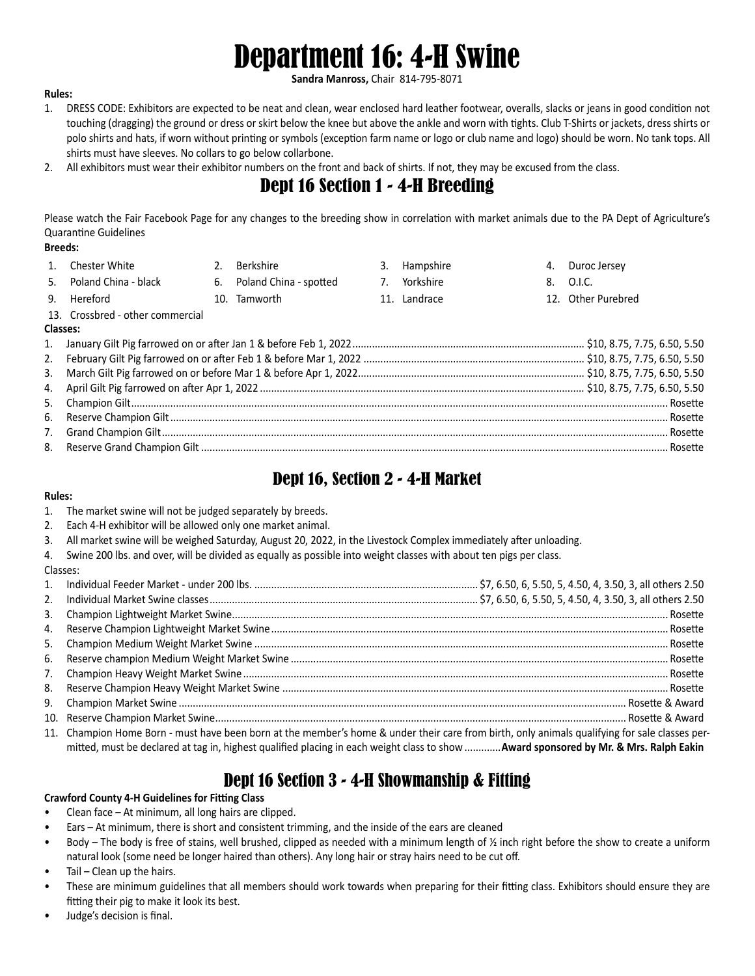# Department 16: 4-H Swine

**Sandra Manross,** Chair 814-795-8071

#### **Rules:**

- 1. DRESS CODE: Exhibitors are expected to be neat and clean, wear enclosed hard leather footwear, overalls, slacks or jeans in good condition not touching (dragging) the ground or dress or skirt below the knee but above the ankle and worn with tights. Club T-Shirts or jackets, dress shirts or polo shirts and hats, if worn without printing or symbols (exception farm name or logo or club name and logo) should be worn. No tank tops. All shirts must have sleeves. No collars to go below collarbone.
- 2. All exhibitors must wear their exhibitor numbers on the front and back of shirts. If not, they may be excused from the class.

## Dept 16 Section 1 - 4-H Breeding

Please watch the Fair Facebook Page for any changes to the breeding show in correlation with market animals due to the PA Dept of Agriculture's Quarantine Guidelines

#### **Breeds:**

|          | Chester White                    | 2. | Berkshire                 |    | 3. Hampshire |  | 4. Duroc Jersey    |
|----------|----------------------------------|----|---------------------------|----|--------------|--|--------------------|
| 5.       | Poland China - black             |    | 6. Poland China - spotted | 7. | Yorkshire    |  | 8. O.I.C.          |
|          | 9. Hereford                      |    | 10. Tamworth              |    | 11. Landrace |  | 12. Other Purebred |
|          | 13. Crossbred - other commercial |    |                           |    |              |  |                    |
| Classes: |                                  |    |                           |    |              |  |                    |
|          |                                  |    |                           |    |              |  |                    |
|          |                                  |    |                           |    |              |  |                    |
|          |                                  |    |                           |    |              |  |                    |
|          |                                  |    |                           |    |              |  |                    |
|          |                                  |    |                           |    |              |  |                    |
|          |                                  |    |                           |    |              |  |                    |
|          |                                  |    |                           |    |              |  |                    |
|          |                                  |    |                           |    |              |  |                    |

### Dept 16, Section 2 - 4-H Market

#### **Rules:**

- 1. The market swine will not be judged separately by breeds.
- 2. Each 4-H exhibitor will be allowed only one market animal.
- 3. All market swine will be weighed Saturday, August 20, 2022, in the Livestock Complex immediately after unloading.
- 4. Swine 200 lbs. and over, will be divided as equally as possible into weight classes with about ten pigs per class.

#### Classes:

| $1_{1}$ |                                                                                                                                                |  |
|---------|------------------------------------------------------------------------------------------------------------------------------------------------|--|
| 2.      |                                                                                                                                                |  |
| 3.      |                                                                                                                                                |  |
| 4.      |                                                                                                                                                |  |
| 5.      |                                                                                                                                                |  |
| 6.      |                                                                                                                                                |  |
| 7.      |                                                                                                                                                |  |
| 8.      |                                                                                                                                                |  |
| 9.      |                                                                                                                                                |  |
|         |                                                                                                                                                |  |
|         | 11. Champion Home Born - must have been born at the member's home & under their care from birth, only animals qualifying for sale classes per- |  |
|         | mitted, must be declared at tag in, highest qualified placing in each weight class to show  Award sponsored by Mr. & Mrs. Ralph Eakin          |  |

## Dept 16 Section 3 - 4-H Showmanship & Fitting

#### **Crawford County 4-H Guidelines for Fitting Class**

- Clean face At minimum, all long hairs are clipped.
- Ears At minimum, there is short and consistent trimming, and the inside of the ears are cleaned
- Body The body is free of stains, well brushed, clipped as needed with a minimum length of  $\frac{1}{2}$  inch right before the show to create a uniform natural look (some need be longer haired than others). Any long hair or stray hairs need to be cut off.
- Tail Clean up the hairs.
- These are minimum guidelines that all members should work towards when preparing for their fitting class. Exhibitors should ensure they are fitting their pig to make it look its best.
- Judge's decision is final.